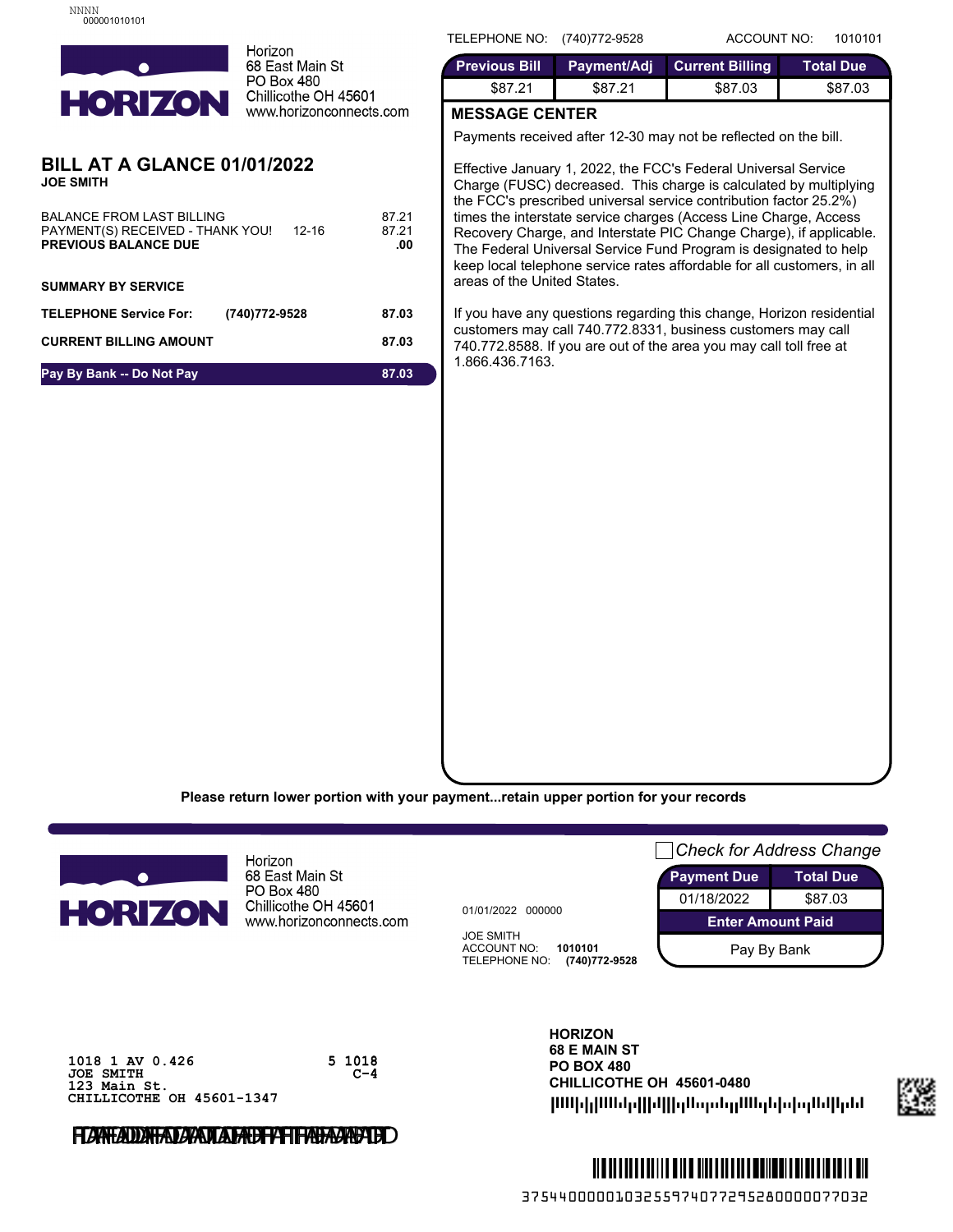

68 East Main St PO Box 480 Chillicothe OH 45601 www.horizonconnects.com

## **BILL AT A GLANCE 01/01/2022 JOE SMITH**

| <b>BALANCE FROM LAST BILLING</b><br>PAYMENT(S) RECEIVED - THANK YOU!<br>12-16<br><b>PREVIOUS BALANCE DUE</b> | 87.21<br>87.21<br>.00 |
|--------------------------------------------------------------------------------------------------------------|-----------------------|
| <b>SUMMARY BY SERVICE</b>                                                                                    |                       |
| <b>TELEPHONE Service For:</b><br>(740) 772-9528                                                              | 87.03                 |
| <b>CURRENT BILLING AMOUNT</b>                                                                                | 87.03                 |
| Pay By Bank -- Do Not Pay                                                                                    | 87.03                 |

TELEPHONE NO: (740)772-9528 ACCOUNT NO: 1010101

| \$87.21<br>\$87.03<br><b>S87 21</b> | \$87.03 |  |
|-------------------------------------|---------|--|

## **MESSAGE CENTER**

Payments received after 12-30 may not be reflected on the bill.

Effective January 1, 2022, the FCC's Federal Universal Service Charge (FUSC) decreased. This charge is calculated by multiplying the FCC's prescribed universal service contribution factor 25.2%) times the interstate service charges (Access Line Charge, Access Recovery Charge, and Interstate PIC Change Charge), if applicable. The Federal Universal Service Fund Program is designated to help keep local telephone service rates affordable for all customers, in all areas of the United States.

If you have any questions regarding this change, Horizon residential customers may call 740.772.8331, business customers may call 740.772.8588. If you are out of the area you may call toll free at 1.866.436.7163.

**Please return lower portion with your payment...retain upper portion for your records**



Horizon 68 East Main St PO Box 480 Chillicothe OH 45601 www.horizonconnects.com

> 5 1018  $C-4$

01/01/2022 000000

JOE SMITH ACCOUNT NO: **1010101** TELEPHONE NO: **(740)772-9528**



**1018 1 AV 0.426 JOE SMITH 123 Main St. CHILLICOTHE OH 45601-1347**

FLAATADD<del>AFADAADLADAUFFIFADAADT</del>ED

## **HORIZON 68 E MAIN ST PO BOX 480 CHILLICOTHE OH 45601-0480** |ՄՍիկ|ՄՍժր||իկ||դԱպանդՄՍգնիդնիկ|կմմ



3754400000103255974077295280000077032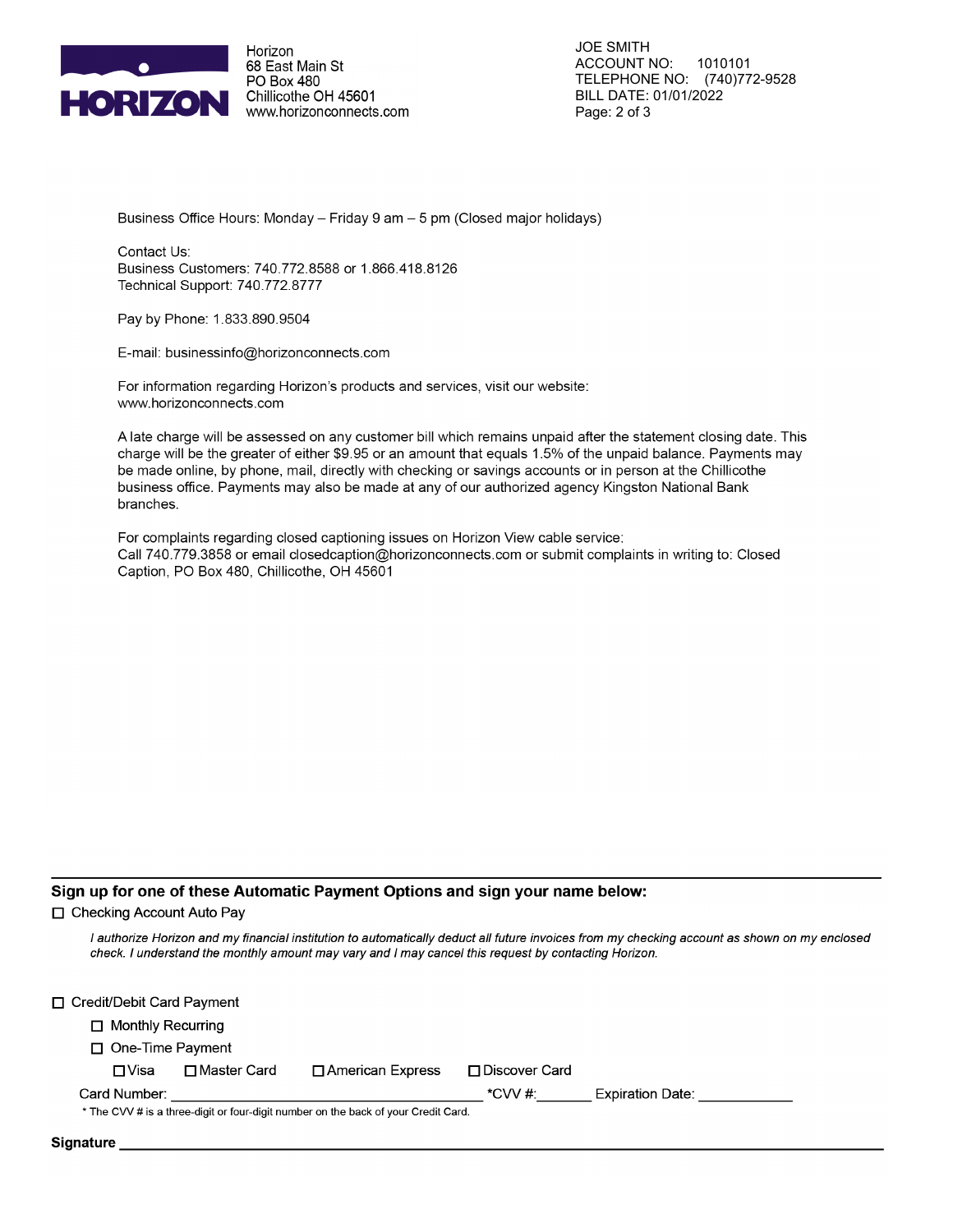

Horizon 68 East Main St PO Box 480 Chillicothe OH 45601 www.horizonconnects.com

**JOE SMITH ACCOUNT NO:** 1010101 TELEPHONE NO: (740)772-9528 BILL DATE: 01/01/2022 Page: 2 of 3

Business Office Hours: Monday - Friday 9 am - 5 pm (Closed major holidays)

Contact Us: Business Customers: 740.772.8588 or 1.866.418.8126 Technical Support: 740.772.8777

Pay by Phone: 1.833.890.9504

E-mail: businessinfo@horizonconnects.com

For information regarding Horizon's products and services, visit our website: www.horizonconnects.com

A late charge will be assessed on any customer bill which remains unpaid after the statement closing date. This charge will be the greater of either \$9.95 or an amount that equals 1.5% of the unpaid balance. Payments may be made online, by phone, mail, directly with checking or savings accounts or in person at the Chillicothe business office. Payments may also be made at any of our authorized agency Kingston National Bank branches.

For complaints regarding closed captioning issues on Horizon View cable service: Call 740.779.3858 or email closedcaption@horizonconnects.com or submit complaints in writing to: Closed Caption, PO Box 480, Chillicothe, OH 45601

#### Sign up for one of these Automatic Payment Options and sign your name below:

□ Checking Account Auto Pav

I authorize Horizon and my financial institution to automatically deduct all future invoices from my checking account as shown on my enclosed check. I understand the monthly amount may vary and I may cancel this request by contacting Horizon.

| □ Credit/Debit Card Payment |               |                                                                                    |                 |                  |  |
|-----------------------------|---------------|------------------------------------------------------------------------------------|-----------------|------------------|--|
| $\Box$ Monthly Recurring    |               |                                                                                    |                 |                  |  |
| $\Box$ One-Time Payment     |               |                                                                                    |                 |                  |  |
| ⊟ Visa                      | □ Master Card | □ American Express                                                                 | □ Discover Card |                  |  |
| Card Number:                |               |                                                                                    | *CVV #:         | Expiration Date: |  |
|                             |               | * The CVV # is a three-digit or four-digit number on the back of your Credit Card. |                 |                  |  |
| <b>Signature</b>            |               |                                                                                    |                 |                  |  |